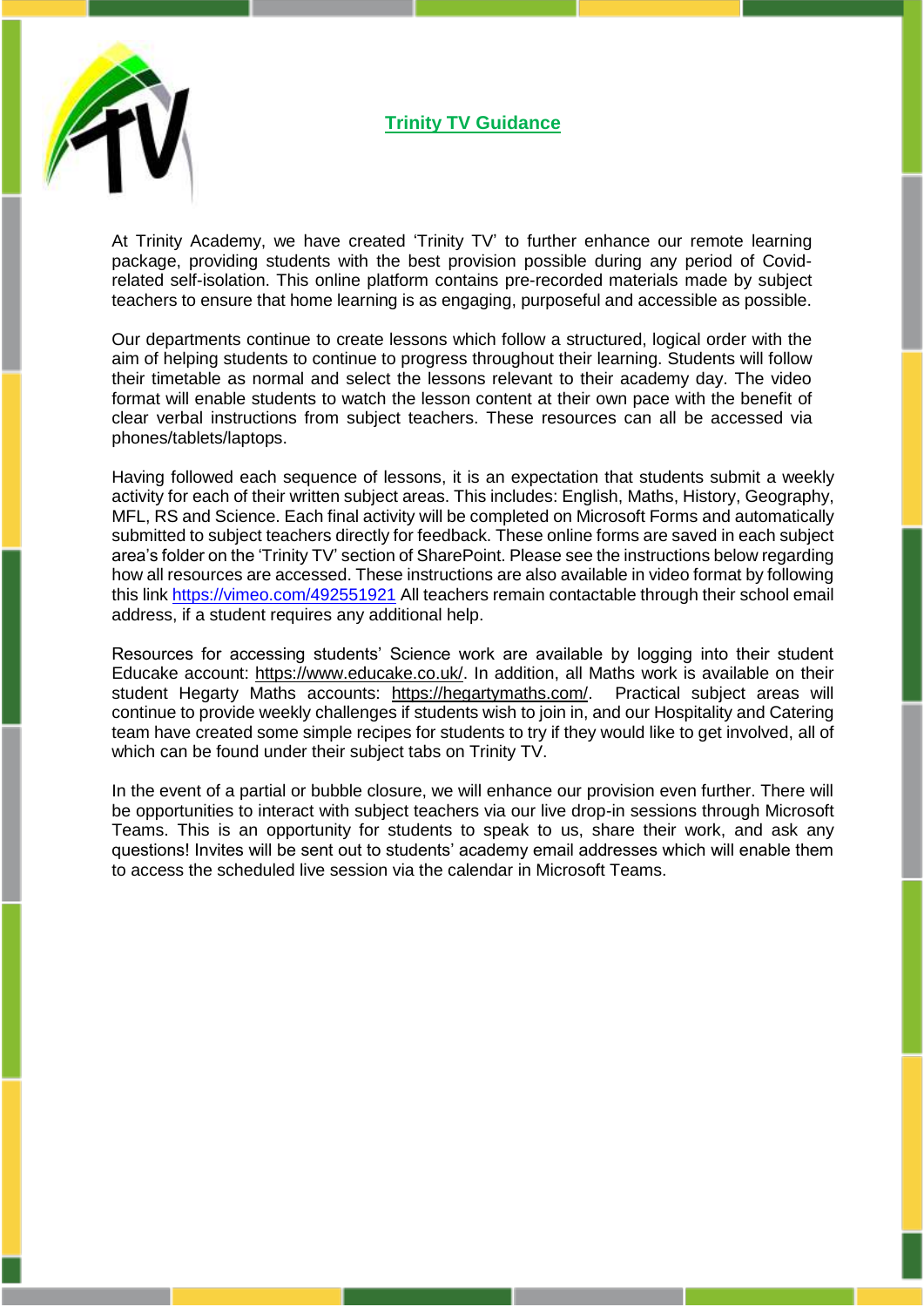

At Trinity Academy, we have created 'Trinity TV' to further enhance our remote learning package, providing students with the best provision possible during any period of Covidrelated self-isolation. This online platform contains pre-recorded materials made by subject teachers to ensure that home learning is as engaging, purposeful and accessible as possible.

Our departments continue to create lessons which follow a structured, logical order with the aim of helping students to continue to progress throughout their learning. Students will follow their timetable as normal and select the lessons relevant to their academy day. The video format will enable students to watch the lesson content at their own pace with the benefit of clear verbal instructions from subject teachers. These resources can all be accessed via phones/tablets/laptops.

Having followed each sequence of lessons, it is an expectation that students submit a weekly activity for each of their written subject areas. This includes: English, Maths, History, Geography, MFL, RS and Science. Each final activity will be completed on Microsoft Forms and automatically submitted to subject teachers directly for feedback. These online forms are saved in each subject area's folder on the 'Trinity TV' section of SharePoint. Please see the instructions below regarding how all resources are accessed. These instructions are also available in video format by following this link <https://vimeo.com/492551921> All teachers remain contactable through their school email address, if a student requires any additional help.

Resources for accessing students' Science work are available by logging into their student Educake account: [https://www.educake.co.uk/.](https://www.educake.co.uk/) In addition, all Maths work is available on their student Hegarty Maths accounts: [https://hegartymaths.com/.](https://hegartymaths.com/) Practical subject areas will continue to provide weekly challenges if students wish to join in, and our Hospitality and Catering team have created some simple recipes for students to try if they would like to get involved, all of which can be found under their subject tabs on Trinity TV.

In the event of a partial or bubble closure, we will enhance our provision even further. There will be opportunities to interact with subject teachers via our live drop-in sessions through Microsoft Teams. This is an opportunity for students to speak to us, share their work, and ask any questions! Invites will be sent out to students' academy email addresses which will enable them to access the scheduled live session via the calendar in Microsoft Teams.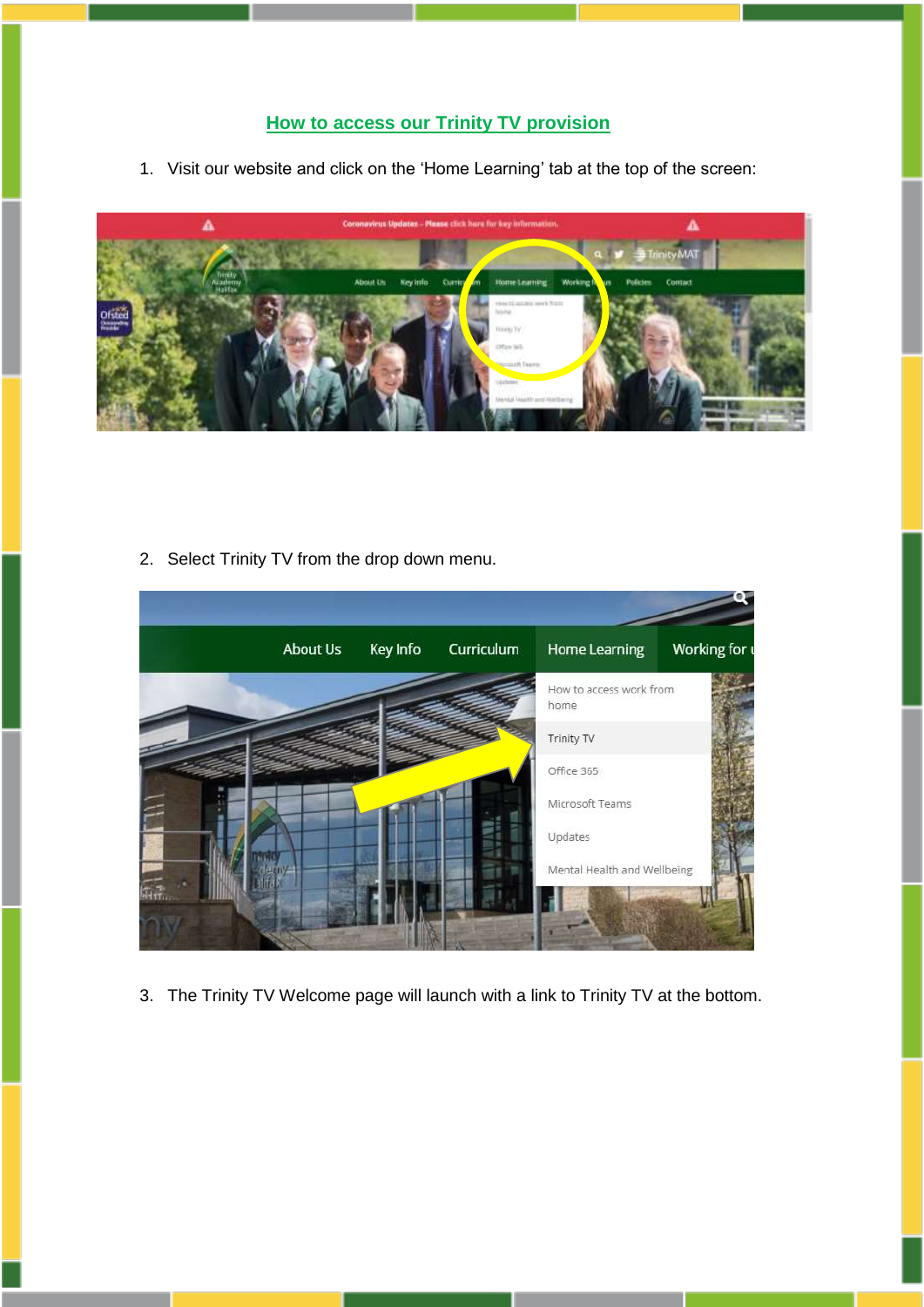## **How to access our Trinity TV provision**

1. Visit our website and click on the 'Home Learning' tab at the top of the screen:



2. Select Trinity TV from the drop down menu.



3. The Trinity TV Welcome page will launch with a link to Trinity TV at the bottom.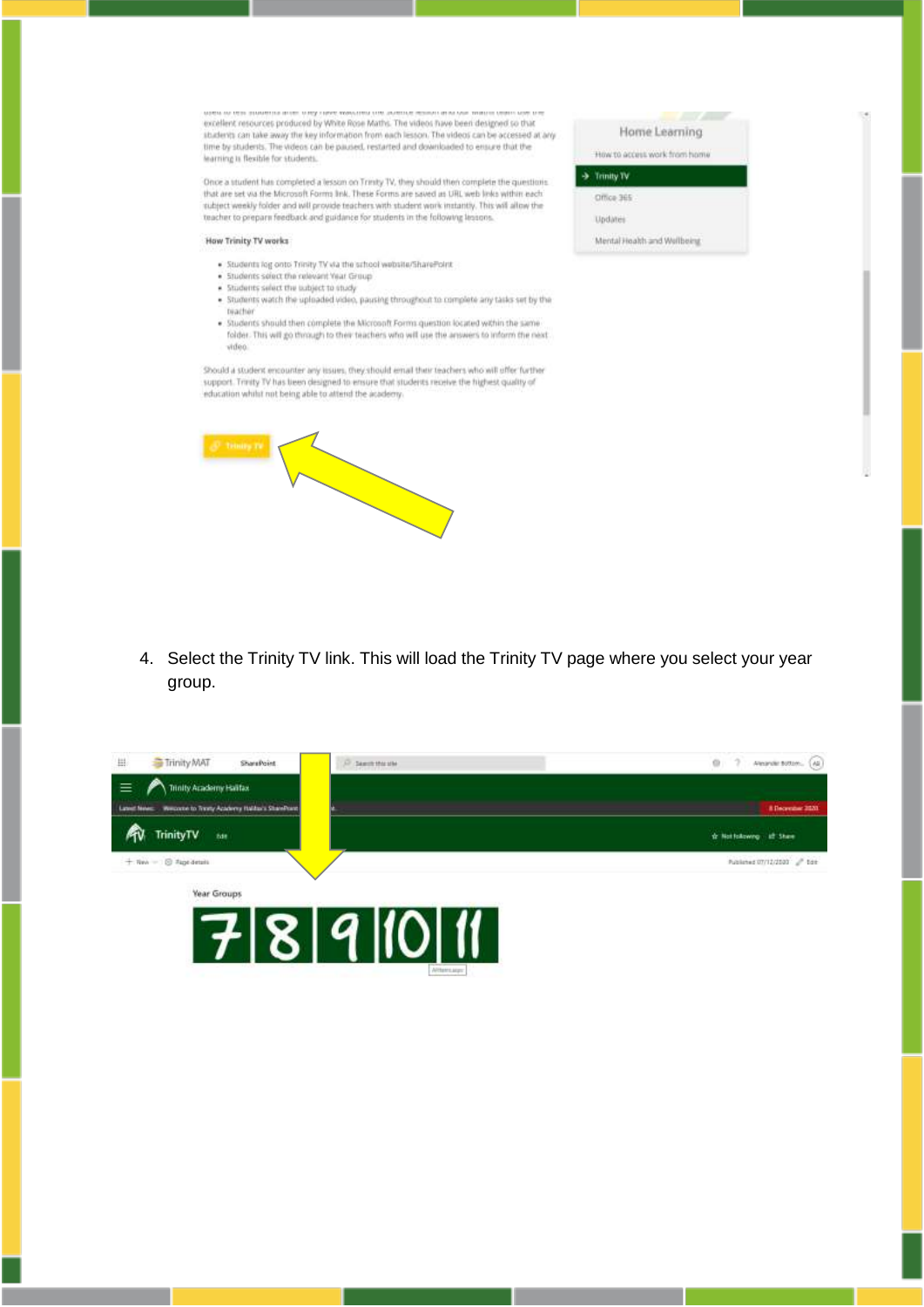excellent resources produced by White Rose Maths. The videos have been designed so that students can take away the key information from each lesson. The videos can be accessed at any time by students. The videos can be paused, restarted and downloaded to ensure that the learning is flexible for students.

Once a student has completed a lesson on Trinity TV, they should then complete the questions that are set via the Microsoft Forms link. These Forms are saved as URL web links within each subject weekly folder and will provide teachers with student work instantly. This will allow the teacher to prepare feedback and guidance for students in the following lessons.

## How Trinity TV works

- . Students log onto Trinity TV via the school website/SharePoint
- . Students select the relevant Year Group
- . Students select the unbject to study
- . Students watch the uploaded video, pausing throughout to complete any tasks set by the bracher
- . Students should then complete the Microsoft Forms question located within the same folder. This will go through to their teachers who will use the answers to inform the next video

Should a student encounter any tissies, they should email their teachers who will offer further support. Trinity TV has been designed to ensure that students receive the highest quality of education whilst not being able to attend the academy.



4. Select the Trinity TV link. This will load the Trinity TV page where you select your year group.